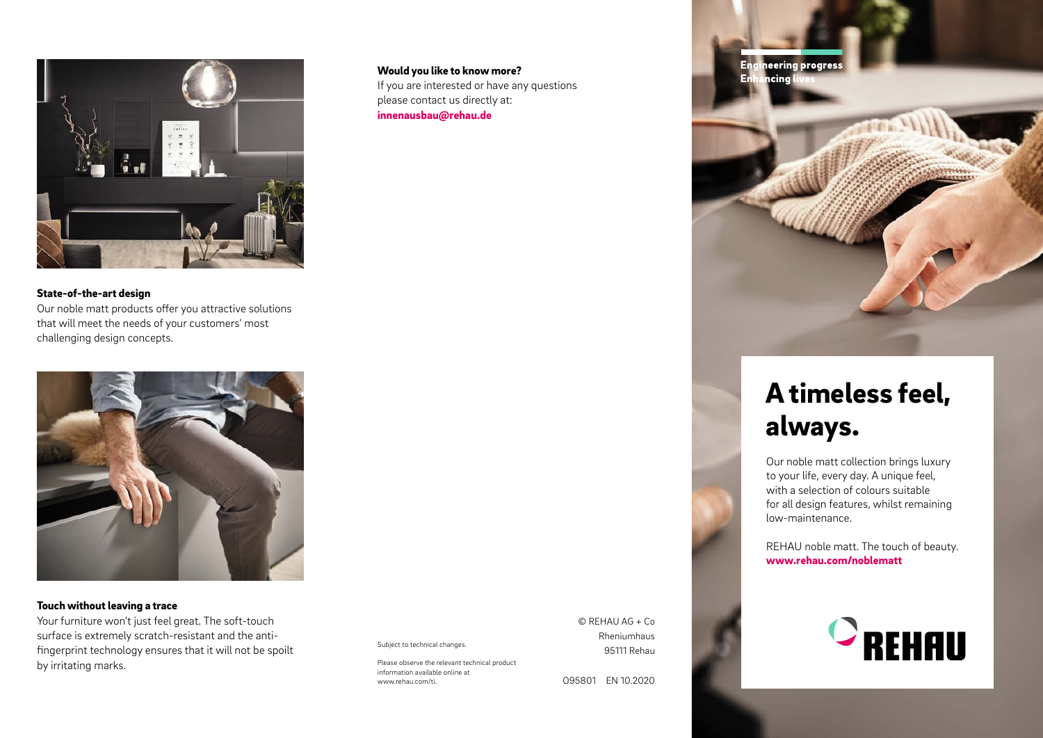

State-of-the-art design Our noble matt products offer you attractive solutions that will meet the needs of your customers' most challenging design concepts.



#### Touch without leaving a trace

Your furniture won't just feel great. The soft-touch surface is extremely scratch-resistant and the antifingerprint technology ensures that it will not be spoilt by irritating marks.

Subject to technical changes.

Please observe the relevant technical product information available online at www.rehau.com/ti.

Would you like to know more?

please contact us directly at: innenausbau@rehau.de

If you are interested or have any questions

© REHAU AG + Co Rheniumhaus 95111 Rehau

O95801 EN 10.2020



### A timeless feel, always.

Our noble matt collection brings luxury to your life, every day. A unique feel, with a selection of colours suitable for all design features, whilst remaining low-maintenance.

REHAU noble matt. The touch of beauty. www.rehau.com/noblematt